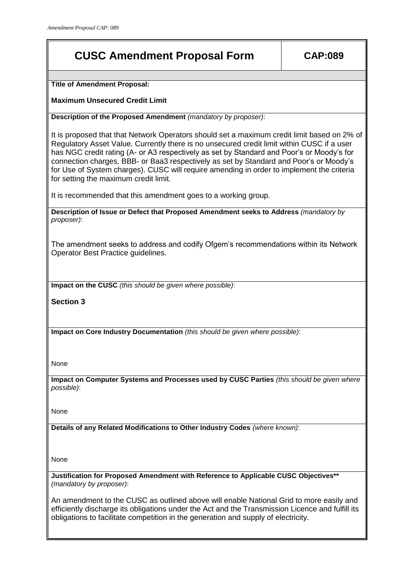## **CUSC Amendment Proposal Form CAP:089**

**Title of Amendment Proposal:**

**Maximum Unsecured Credit Limit**

**Description of the Proposed Amendment** *(mandatory by proposer)*:

It is proposed that that Network Operators should set a maximum credit limit based on 2% of Regulatory Asset Value. Currently there is no unsecured credit limit within CUSC if a user has NGC credit rating (A- or A3 respectively as set by Standard and Poor's or Moody's for connection charges, BBB- or Baa3 respectively as set by Standard and Poor's or Moody's for Use of System charges). CUSC will require amending in order to implement the criteria for setting the maximum credit limit.

It is recommended that this amendment goes to a working group.

**Description of Issue or Defect that Proposed Amendment seeks to Address** *(mandatory by proposer)*:

The amendment seeks to address and codify Ofgem's recommendations within its Network Operator Best Practice guidelines.

**Impact on the CUSC** *(this should be given where possible)*:

**Section 3**

**Impact on Core Industry Documentation** *(this should be given where possible)*:

None

**Impact on Computer Systems and Processes used by CUSC Parties** *(this should be given where possible)*:

None

**Details of any Related Modifications to Other Industry Codes** *(where known)*:

None

**Justification for Proposed Amendment with Reference to Applicable CUSC Objectives\*\***  *(mandatory by proposer)*:

An amendment to the CUSC as outlined above will enable National Grid to more easily and efficiently discharge its obligations under the Act and the Transmission Licence and fulfill its obligations to facilitate competition in the generation and supply of electricity.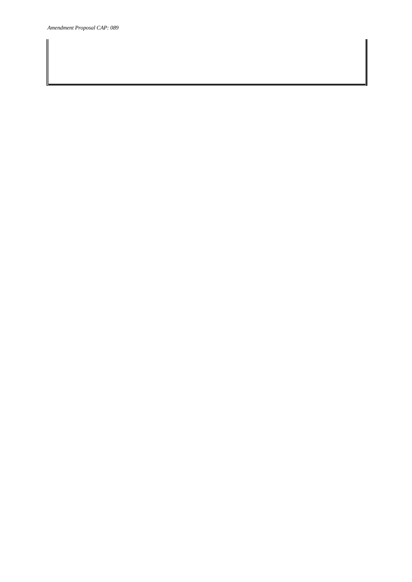*Amendment Proposal CAP: 089*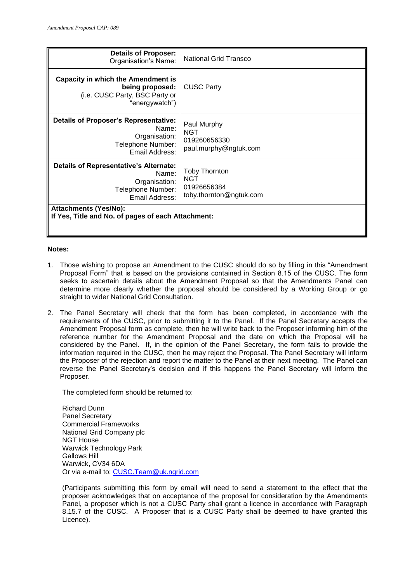| <b>Details of Proposer:</b><br>Organisation's Name:                                                              | <b>National Grid Transco</b>                                                 |
|------------------------------------------------------------------------------------------------------------------|------------------------------------------------------------------------------|
| <b>Capacity in which the Amendment is</b><br>being proposed:<br>(i.e. CUSC Party, BSC Party or<br>"energywatch") | <b>CUSC Party</b>                                                            |
| <b>Details of Proposer's Representative:</b><br>Name:<br>Organisation:<br>Telephone Number:<br>Email Address:    | Paul Murphy<br><b>NGT</b><br>019260656330<br>paul.murphy@ngtuk.com           |
| <b>Details of Representative's Alternate:</b><br>Name:<br>Organisation:<br>Telephone Number:<br>Email Address:   | <b>Toby Thornton</b><br><b>NGT</b><br>01926656384<br>toby.thornton@ngtuk.com |
| <b>Attachments (Yes/No):</b><br>If Yes, Title and No. of pages of each Attachment:                               |                                                                              |

## **Notes:**

- 1. Those wishing to propose an Amendment to the CUSC should do so by filling in this "Amendment Proposal Form" that is based on the provisions contained in Section 8.15 of the CUSC. The form seeks to ascertain details about the Amendment Proposal so that the Amendments Panel can determine more clearly whether the proposal should be considered by a Working Group or go straight to wider National Grid Consultation.
- 2. The Panel Secretary will check that the form has been completed, in accordance with the requirements of the CUSC, prior to submitting it to the Panel. If the Panel Secretary accepts the Amendment Proposal form as complete, then he will write back to the Proposer informing him of the reference number for the Amendment Proposal and the date on which the Proposal will be considered by the Panel. If, in the opinion of the Panel Secretary, the form fails to provide the information required in the CUSC, then he may reject the Proposal. The Panel Secretary will inform the Proposer of the rejection and report the matter to the Panel at their next meeting. The Panel can reverse the Panel Secretary's decision and if this happens the Panel Secretary will inform the Proposer.

The completed form should be returned to:

Richard Dunn Panel Secretary Commercial Frameworks National Grid Company plc NGT House Warwick Technology Park Gallows Hill Warwick, CV34 6DA Or via e-mail to: [CUSC.Team@uk.ngrid.com](mailto:CUSC.Team@uk.ngrid.com)

(Participants submitting this form by email will need to send a statement to the effect that the proposer acknowledges that on acceptance of the proposal for consideration by the Amendments Panel, a proposer which is not a CUSC Party shall grant a licence in accordance with Paragraph 8.15.7 of the CUSC. A Proposer that is a CUSC Party shall be deemed to have granted this Licence).